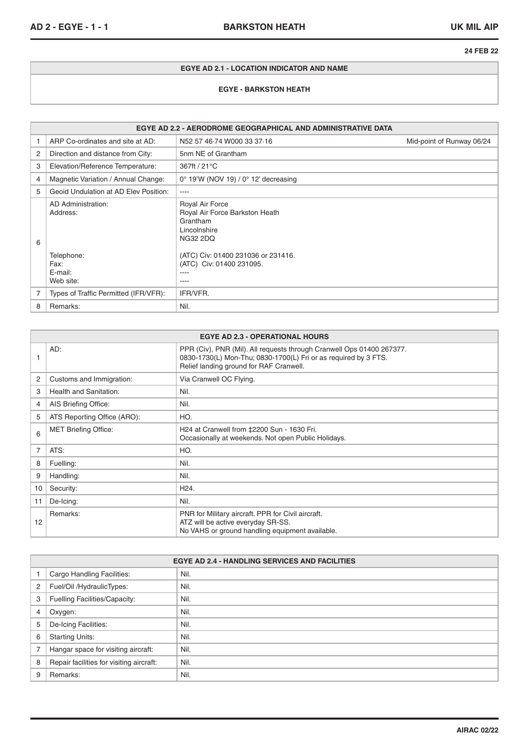# **EGYE AD 2.1 - LOCATION INDICATOR AND NAME**

## **EGYE - BARKSTON HEATH**

|   | EGYE AD 2.2 - AERODROME GEOGRAPHICAL AND ADMINISTRATIVE DATA |                                                                                                  |                           |  |  |  |
|---|--------------------------------------------------------------|--------------------------------------------------------------------------------------------------|---------------------------|--|--|--|
|   | ARP Co-ordinates and site at AD:                             | N52 57 46 74 W000 33 37 16                                                                       | Mid-point of Runway 06/24 |  |  |  |
| 2 | Direction and distance from City:                            | 5nm NE of Grantham                                                                               |                           |  |  |  |
| 3 | Elevation/Reference Temperature:                             | 367ft / 21°C                                                                                     |                           |  |  |  |
| 4 | Magnetic Variation / Annual Change:                          | $0^{\circ}$ 19'W (NOV 19) / $0^{\circ}$ 12' decreasing                                           |                           |  |  |  |
| 5 | Geoid Undulation at AD Elev Position:                        | $---$                                                                                            |                           |  |  |  |
| 6 | AD Administration:<br>Address:                               | Royal Air Force<br>Royal Air Force Barkston Heath<br>Grantham<br>Lincolnshire<br><b>NG32 2DQ</b> |                           |  |  |  |
|   | Telephone:<br>Fax:<br>E-mail:<br>Web site:                   | (ATC) Civ: 01400 231036 or 231416.<br>(ATC) Civ: 01400 231095.<br>----<br>$- - - -$              |                           |  |  |  |
| 7 | Types of Traffic Permitted (IFR/VFR):                        | IFR/VFR.                                                                                         |                           |  |  |  |
| 8 | Remarks:                                                     | Nil.                                                                                             |                           |  |  |  |

|    | <b>EGYE AD 2.3 - OPERATIONAL HOURS</b> |                                                                                                                                                                                     |  |  |  |
|----|----------------------------------------|-------------------------------------------------------------------------------------------------------------------------------------------------------------------------------------|--|--|--|
|    | AD:                                    | PPR (Civ), PNR (Mil). All requests through Cranwell Ops 01400 267377.<br>0830-1730(L) Mon-Thu; 0830-1700(L) Fri or as required by 3 FTS.<br>Relief landing ground for RAF Cranwell. |  |  |  |
| 2  | Customs and Immigration:               | Via Cranwell OC Flying.                                                                                                                                                             |  |  |  |
| 3  | Health and Sanitation:                 | Nil.                                                                                                                                                                                |  |  |  |
| 4  | AIS Briefing Office:                   | Nil.                                                                                                                                                                                |  |  |  |
| 5  | ATS Reporting Office (ARO):            | HO.                                                                                                                                                                                 |  |  |  |
| 6  | <b>MET Briefing Office:</b>            | H24 at Cranwell from $\text{\#}2200$ Sun - 1630 Fri.<br>Occasionally at weekends. Not open Public Holidays.                                                                         |  |  |  |
| 7  | ATS:                                   | HO.                                                                                                                                                                                 |  |  |  |
| 8  | Fuelling:                              | Nil.                                                                                                                                                                                |  |  |  |
| 9  | Handling:                              | Nil.                                                                                                                                                                                |  |  |  |
| 10 | Security:                              | H <sub>24</sub> .                                                                                                                                                                   |  |  |  |
| 11 | De-Icing:                              | Nil.                                                                                                                                                                                |  |  |  |
| 12 | Remarks:                               | PNR for Military aircraft. PPR for Civil aircraft.<br>ATZ will be active everyday SR-SS.<br>No VAHS or ground handling equipment available.                                         |  |  |  |

|   | <b>EGYE AD 2.4 - HANDLING SERVICES AND FACILITIES</b> |      |  |  |  |
|---|-------------------------------------------------------|------|--|--|--|
|   | Cargo Handling Facilities:                            | Nil. |  |  |  |
| 2 | Fuel/Oil /HydraulicTypes:                             | Nil. |  |  |  |
| 3 | Fuelling Facilities/Capacity:                         | Nil. |  |  |  |
| 4 | Oxygen:                                               | Nil. |  |  |  |
| 5 | De-Icing Facilities:                                  | Nil. |  |  |  |
| 6 | <b>Starting Units:</b>                                | Nil. |  |  |  |
| 7 | Hangar space for visiting aircraft:                   | Nil. |  |  |  |
| 8 | Repair facilities for visiting aircraft:              | Nil. |  |  |  |
| 9 | Remarks:                                              | Nil. |  |  |  |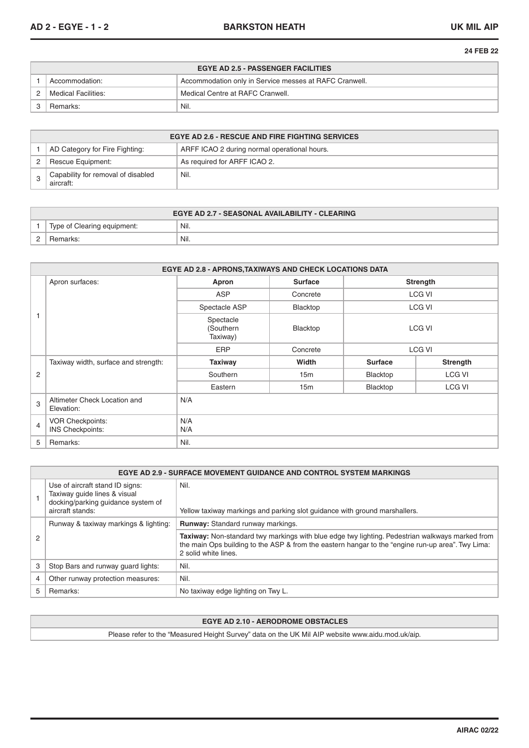| <b>EGYE AD 2.5 - PASSENGER FACILITIES</b> |                                                        |  |  |  |  |
|-------------------------------------------|--------------------------------------------------------|--|--|--|--|
| Accommodation:                            | Accommodation only in Service messes at RAFC Cranwell. |  |  |  |  |
| Medical Facilities:                       | Medical Centre at RAFC Cranwell.                       |  |  |  |  |
| Remarks:                                  | Nil.                                                   |  |  |  |  |

| <b>EGYE AD 2.6 - RESCUE AND FIRE FIGHTING SERVICES</b> |                                              |  |  |  |
|--------------------------------------------------------|----------------------------------------------|--|--|--|
| AD Category for Fire Fighting:                         | ARFF ICAO 2 during normal operational hours. |  |  |  |
| Rescue Equipment:                                      | As required for ARFF ICAO 2.                 |  |  |  |
| Capability for removal of disabled<br>aircraft:        | Nil.                                         |  |  |  |

| <b>EGYE AD 2.7 - SEASONAL AVAILABILITY - CLEARING</b> |      |  |  |  |  |
|-------------------------------------------------------|------|--|--|--|--|
| Type of Clearing equipment:                           | Nil. |  |  |  |  |
| Remarks:                                              | Nil. |  |  |  |  |

|                | EGYE AD 2.8 - APRONS, TAXIWAYS AND CHECK LOCATIONS DATA |                                            |                 |                |               |  |  |
|----------------|---------------------------------------------------------|--------------------------------------------|-----------------|----------------|---------------|--|--|
|                | Apron surfaces:                                         | <b>Surface</b><br><b>Strength</b><br>Apron |                 |                |               |  |  |
|                |                                                         | <b>ASP</b>                                 | Concrete        |                | <b>LCG VI</b> |  |  |
|                |                                                         | Spectacle ASP                              | Blacktop        |                | <b>LCG VI</b> |  |  |
| 1              |                                                         | Spectacle<br>(Southern<br>Taxiway)         | Blacktop        | <b>LCG VI</b>  |               |  |  |
|                |                                                         | <b>ERP</b>                                 | Concrete        | <b>LCG VI</b>  |               |  |  |
|                | Taxiway width, surface and strength:                    | Taxiway                                    | Width           | <b>Surface</b> | Strength      |  |  |
| $\overline{2}$ |                                                         | Southern                                   | 15m             | Blacktop       | <b>LCG VI</b> |  |  |
|                |                                                         | Eastern                                    | 15 <sub>m</sub> | Blacktop       | <b>LCG VI</b> |  |  |
| 3              | Altimeter Check Location and<br>Elevation:              | N/A                                        |                 |                |               |  |  |
| $\overline{4}$ | VOR Checkpoints:<br>INS Checkpoints:                    | N/A<br>N/A                                 |                 |                |               |  |  |
| 5              | Remarks:                                                | Nil.                                       |                 |                |               |  |  |

|                                                                                   | EGYE AD 2.9 - SURFACE MOVEMENT GUIDANCE AND CONTROL SYSTEM MARKINGS                                                       |                                                                                                                                                                                                                              |  |  |  |  |
|-----------------------------------------------------------------------------------|---------------------------------------------------------------------------------------------------------------------------|------------------------------------------------------------------------------------------------------------------------------------------------------------------------------------------------------------------------------|--|--|--|--|
|                                                                                   | Use of aircraft stand ID signs:<br>Taxiway guide lines & visual<br>docking/parking guidance system of<br>aircraft stands: | Nil.<br>Yellow taxiway markings and parking slot guidance with ground marshallers.                                                                                                                                           |  |  |  |  |
| Runway & taxiway markings & lighting:<br><b>Runway:</b> Standard runway markings. |                                                                                                                           |                                                                                                                                                                                                                              |  |  |  |  |
|                                                                                   |                                                                                                                           | Taxiway: Non-standard twy markings with blue edge twy lighting. Pedestrian walkways marked from<br>the main Ops building to the ASP & from the eastern hangar to the "engine run-up area". Twy Lima:<br>2 solid white lines. |  |  |  |  |
| 3                                                                                 | Stop Bars and runway guard lights:                                                                                        | Nil.                                                                                                                                                                                                                         |  |  |  |  |
| 4                                                                                 | Other runway protection measures:                                                                                         | Nil.                                                                                                                                                                                                                         |  |  |  |  |
| 5                                                                                 | Remarks:                                                                                                                  | No taxiway edge lighting on Twy L.                                                                                                                                                                                           |  |  |  |  |

# **EGYE AD 2.10 - AERODROME OBSTACLES**

Please refer to the "Measured Height Survey" data on the UK Mil AIP website [www.aidu.mod.uk/aip.](http://www.aidu.mod.uk/aip)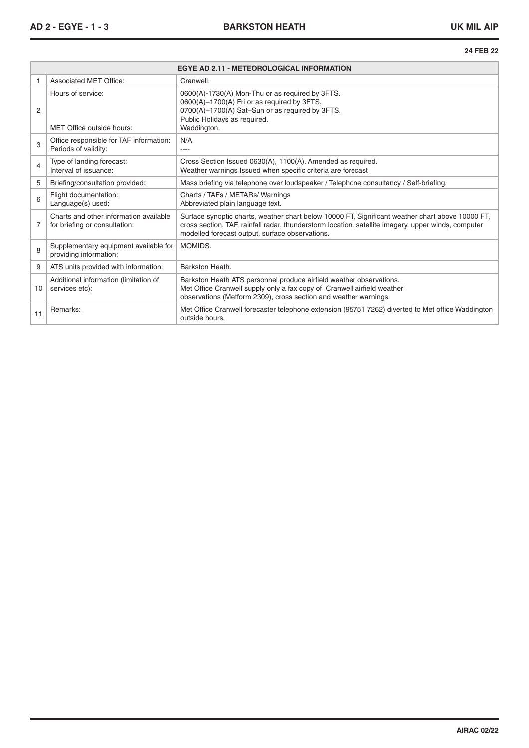|                | <b>EGYE AD 2.11 - METEOROLOGICAL INFORMATION</b>                        |                                                                                                                                                                                                                                                            |  |  |  |  |
|----------------|-------------------------------------------------------------------------|------------------------------------------------------------------------------------------------------------------------------------------------------------------------------------------------------------------------------------------------------------|--|--|--|--|
| 1              | Associated MET Office:                                                  | Cranwell.                                                                                                                                                                                                                                                  |  |  |  |  |
| 2              | Hours of service:<br><b>MET Office outside hours:</b>                   | 0600(A)-1730(A) Mon-Thu or as required by 3FTS.<br>0600(A)-1700(A) Fri or as required by 3FTS.<br>0700(A)-1700(A) Sat-Sun or as required by 3FTS.<br>Public Holidays as required.<br>Waddington.                                                           |  |  |  |  |
| 3              | Office responsible for TAF information:<br>Periods of validity:         | N/A                                                                                                                                                                                                                                                        |  |  |  |  |
| $\overline{4}$ | Type of landing forecast:<br>Interval of issuance:                      | Cross Section Issued 0630(A), 1100(A). Amended as required.<br>Weather warnings Issued when specific criteria are forecast                                                                                                                                 |  |  |  |  |
| 5              | Briefing/consultation provided:                                         | Mass briefing via telephone over loudspeaker / Telephone consultancy / Self-briefing.                                                                                                                                                                      |  |  |  |  |
| 6              | Flight documentation:<br>Language(s) used:                              | Charts / TAFs / METARs/ Warnings<br>Abbreviated plain language text.                                                                                                                                                                                       |  |  |  |  |
| 7              | Charts and other information available<br>for briefing or consultation: | Surface synoptic charts, weather chart below 10000 FT, Significant weather chart above 10000 FT,<br>cross section, TAF, rainfall radar, thunderstorm location, satellite imagery, upper winds, computer<br>modelled forecast output, surface observations. |  |  |  |  |
| 8              | Supplementary equipment available for<br>providing information:         | MOMIDS.                                                                                                                                                                                                                                                    |  |  |  |  |
| 9              | ATS units provided with information:                                    | Barkston Heath.                                                                                                                                                                                                                                            |  |  |  |  |
| 10             | Additional information (limitation of<br>services etc):                 | Barkston Heath ATS personnel produce airfield weather observations.<br>Met Office Cranwell supply only a fax copy of Cranwell airfield weather<br>observations (Metform 2309), cross section and weather warnings.                                         |  |  |  |  |
| 11             | Remarks:                                                                | Met Office Cranwell forecaster telephone extension (95751 7262) diverted to Met office Waddington<br>outside hours.                                                                                                                                        |  |  |  |  |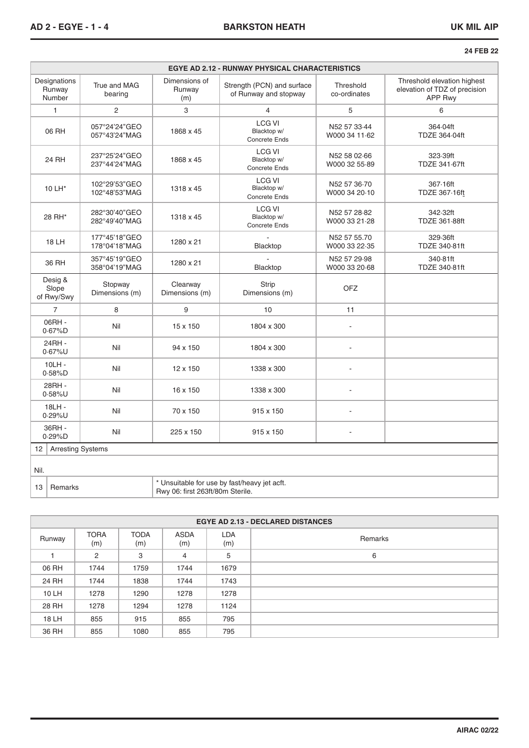| <b>EGYE AD 2.12 - RUNWAY PHYSICAL CHARACTERISTICS</b> |                                |                                  |                                                     |                               |                                                                                |  |  |
|-------------------------------------------------------|--------------------------------|----------------------------------|-----------------------------------------------------|-------------------------------|--------------------------------------------------------------------------------|--|--|
| Designations<br>Runway<br>Number                      | True and MAG<br>bearing        | Dimensions of<br>Runway<br>(m)   | Strength (PCN) and surface<br>of Runway and stopway | Threshold<br>co-ordinates     | Threshold elevation highest<br>elevation of TDZ of precision<br><b>APP Rwy</b> |  |  |
| $\mathbf{1}$                                          | 2                              | 3                                | 4                                                   | 5                             | 6                                                                              |  |  |
| 06 RH                                                 | 057°24'24"GEO<br>057°43'24"MAG | 1868 x 45                        | <b>LCG VI</b><br>Blacktop w/<br>Concrete Ends       | N52 57 33-44<br>W000 34 11.62 | 364-04ft<br>TDZE 364-04ft                                                      |  |  |
| 24 RH                                                 | 237°25'24"GEO<br>237°44'24"MAG | 1868 x 45                        | <b>LCG VI</b><br>Blacktop w/<br>Concrete Ends       | N52 58 02.66<br>W000 32 55-89 | 323-39ft<br>TDZE 341.67ft                                                      |  |  |
| 10 LH*                                                | 102°29'53"GEO<br>102°48'53"MAG | 1318 x 45                        | <b>LCG VI</b><br>Blacktop w/<br>Concrete Ends       | N52 57 36.70<br>W000 34 20-10 | 367-16ft<br>TDZE 367-16ft                                                      |  |  |
| 28 RH*                                                | 282°30'40"GEO<br>282°49'40"MAG | 1318 x 45                        | <b>LCG VI</b><br>Blacktop w/<br>Concrete Ends       | N52 57 28.82<br>W000 33 21-28 | 342-32ft<br>TDZE 361-88ft                                                      |  |  |
| 18 LH                                                 | 177°45'18"GEO<br>178°04'18"MAG | 1280 x 21                        | Blacktop                                            | N52 57 55.70<br>W000 33 22-35 | 329-36ft<br>TDZE 340-81ft                                                      |  |  |
| 36 RH                                                 | 357°45'19"GEO<br>358°04'19"MAG | 1280 x 21                        | Blacktop                                            | N52 57 29.98<br>W000 33 20-68 | 340-81ft<br>TDZE 340-81ft                                                      |  |  |
| Desig &<br>Slope<br>of Rwy/Swy                        | Stopway<br>Dimensions (m)      | Clearway<br>Dimensions (m)       | Strip<br>Dimensions (m)                             | <b>OFZ</b>                    |                                                                                |  |  |
| $\overline{7}$                                        | 8                              | 9                                | 10                                                  | 11                            |                                                                                |  |  |
| 06RH -<br>$0.67\%D$                                   | Nil                            | 15 x 150                         | 1804 x 300<br>÷.                                    |                               |                                                                                |  |  |
| 24RH -<br>$0.67\%$ U                                  | Nil                            | 94 x 150                         | 1804 x 300<br>$\overline{a}$                        |                               |                                                                                |  |  |
| $10LH -$<br>$0.58\%D$                                 | Nil                            | 12 x 150                         | 1338 x 300                                          | L                             |                                                                                |  |  |
| 28RH -<br>$0.58\%$ U                                  | Nil                            | 16 x 150                         | 1338 x 300                                          | $\overline{a}$                |                                                                                |  |  |
| 18LH -<br>$0.29%$ U                                   | Nil                            | 70 x 150                         | 915 x 150                                           | $\overline{a}$                |                                                                                |  |  |
| 36RH -<br>$0.29\%$ D                                  | Nil                            | 225 x 150                        | 915 x 150                                           | ä,                            |                                                                                |  |  |
| 12<br><b>Arresting Systems</b>                        |                                |                                  |                                                     |                               |                                                                                |  |  |
| Nil.                                                  |                                |                                  |                                                     |                               |                                                                                |  |  |
| Remarks<br>13                                         |                                | Rwy 06: first 263ft/80m Sterile. | * Unsuitable for use by fast/heavy jet acft.        |                               |                                                                                |  |  |

|        | <b>EGYE AD 2.13 - DECLARED DISTANCES</b> |                    |             |                   |         |  |  |  |  |
|--------|------------------------------------------|--------------------|-------------|-------------------|---------|--|--|--|--|
| Runway | <b>TORA</b><br>(m)                       | <b>TODA</b><br>(m) | ASDA<br>(m) | <b>LDA</b><br>(m) | Remarks |  |  |  |  |
|        | 2                                        | 3                  | 4           | 5                 | 6       |  |  |  |  |
| 06 RH  | 1744                                     | 1759               | 1744        | 1679              |         |  |  |  |  |
| 24 RH  | 1744                                     | 1838               | 1744        | 1743              |         |  |  |  |  |
| 10 LH  | 1278                                     | 1290               | 1278        | 1278              |         |  |  |  |  |
| 28 RH  | 1278                                     | 1294               | 1278        | 1124              |         |  |  |  |  |
| 18 LH  | 855                                      | 915                | 855         | 795               |         |  |  |  |  |
| 36 RH  | 855                                      | 1080               | 855         | 795               |         |  |  |  |  |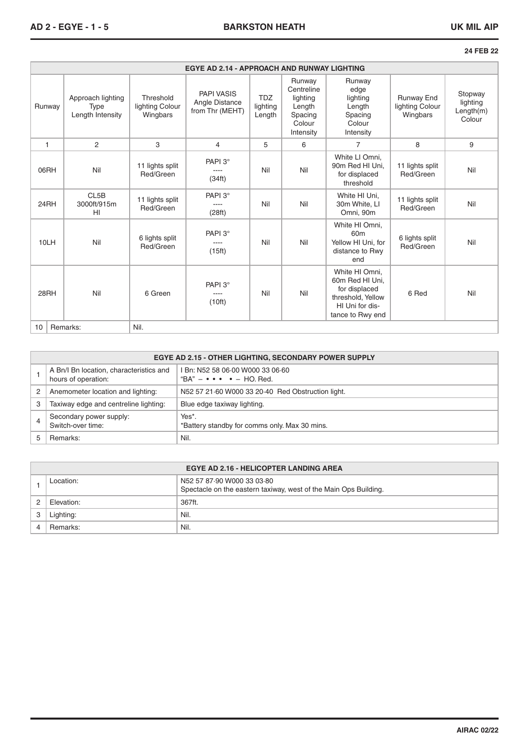|        | <b>EGYE AD 2.14 - APPROACH AND RUNWAY LIGHTING</b>   |                                          |                                                        |                                  |                                                                              |                                                                                                                |                                           |                                            |  |
|--------|------------------------------------------------------|------------------------------------------|--------------------------------------------------------|----------------------------------|------------------------------------------------------------------------------|----------------------------------------------------------------------------------------------------------------|-------------------------------------------|--------------------------------------------|--|
| Runway | Approach lighting<br><b>Type</b><br>Length Intensity | Threshold<br>lighting Colour<br>Wingbars | <b>PAPI VASIS</b><br>Angle Distance<br>from Thr (MEHT) | <b>TDZ</b><br>lighting<br>Length | Runway<br>Centreline<br>lighting<br>Length<br>Spacing<br>Colour<br>Intensity | Runway<br>edge<br>lighting<br>Length<br>Spacing<br>Colour<br>Intensity                                         | Runway End<br>lighting Colour<br>Wingbars | Stopway<br>lighting<br>Length(m)<br>Colour |  |
| 1      | 2                                                    | 3                                        | 4                                                      | 5                                | 6                                                                            | $\overline{7}$                                                                                                 | 8                                         | 9                                          |  |
| 06RH   | Nil                                                  | 11 lights split<br>Red/Green             | PAPI 3°<br>----<br>(34ft)                              | Nil                              | Nil                                                                          | White LI Omni.<br>90m Red HI Uni.<br>for displaced<br>threshold                                                | 11 lights split<br>Red/Green              | Nil                                        |  |
| 24RH   | CL5B<br>3000ft/915m<br>HI                            | 11 lights split<br>Red/Green             | PAPI 3°<br>(28ft)                                      | Nil                              | Nil                                                                          | White HI Uni.<br>30m White, LI<br>Omni, 90m                                                                    | 11 lights split<br>Red/Green              | Nil                                        |  |
| 10LH   | Nil                                                  | 6 lights split<br>Red/Green              | PAPI 3°<br>$---$<br>(15ft)                             | Nil                              | Nil                                                                          | White HI Omni,<br>60 <sub>m</sub><br>Yellow HI Uni, for<br>distance to Rwy<br>end                              | 6 lights split<br>Red/Green               | Nil                                        |  |
| 28RH   | Nil                                                  | 6 Green                                  | PAPI 3°<br>$---$<br>(10ft)                             | Nil                              | Nil                                                                          | White HI Omni.<br>60m Red HI Uni.<br>for displaced<br>threshold, Yellow<br>HI Uni for dis-<br>tance to Rwy end | 6 Red                                     | Nil                                        |  |
| 10     | Remarks:                                             | Nil.                                     |                                                        |                                  |                                                                              |                                                                                                                |                                           |                                            |  |

|   |                                                                | <b>EGYE AD 2.15 - OTHER LIGHTING, SECONDARY POWER SUPPLY</b>                |
|---|----------------------------------------------------------------|-----------------------------------------------------------------------------|
|   | A Bn/I Bn location, characteristics and<br>hours of operation: | I Bn: N52 58 06 00 W000 33 06 60<br>"BA" $-\cdot\cdot\cdot\cdot$ - HO. Red. |
| 2 | Anemometer location and lighting:                              | N52 57 21.60 W000 33 20.40 Red Obstruction light.                           |
| 3 | Taxiway edge and centreline lighting:                          | Blue edge taxiway lighting.                                                 |
|   | Secondary power supply:<br>Switch-over time:                   | Yes*<br>*Battery standby for comms only. Max 30 mins.                       |
|   | Remarks:                                                       | Nil.                                                                        |

|            | <b>EGYE AD 2.16 - HELICOPTER LANDING AREA</b>                                                  |
|------------|------------------------------------------------------------------------------------------------|
| Location:  | N52 57 87 90 W000 33 03 80<br>Spectacle on the eastern taxiway, west of the Main Ops Building. |
| Elevation: | 367ft.                                                                                         |
| ∟ighting:  | Nil.                                                                                           |
| Remarks:   | Nil.                                                                                           |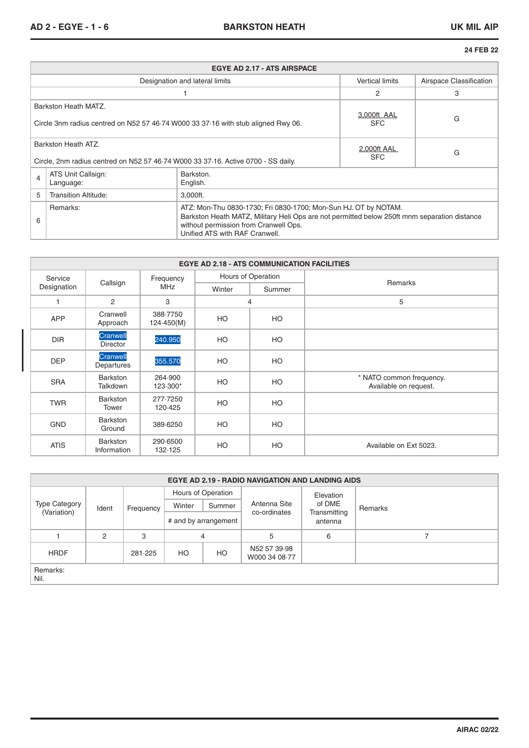|   |                                                                                                           | <b>EGYE AD 2.17 - ATS AIRSPACE</b>                                                                                                                                                                                                         |                           |                         |
|---|-----------------------------------------------------------------------------------------------------------|--------------------------------------------------------------------------------------------------------------------------------------------------------------------------------------------------------------------------------------------|---------------------------|-------------------------|
|   |                                                                                                           | Designation and lateral limits                                                                                                                                                                                                             | <b>Vertical limits</b>    | Airspace Classification |
|   |                                                                                                           |                                                                                                                                                                                                                                            | 2                         | 3                       |
|   | Barkston Heath MATZ.<br>Circle 3nm radius centred on N52 57 46 74 W000 33 37 16 with stub aligned Rwy 06. |                                                                                                                                                                                                                                            | 3,000ft AAL<br><b>SFC</b> | G                       |
|   | Barkston Heath ATZ.<br>Circle, 2nm radius centred on N52 57 46 74 W000 33 37 16. Active 0700 - SS daily.  |                                                                                                                                                                                                                                            | 2,000ft AAL<br><b>SFC</b> | G                       |
| 4 | ATS Unit Callsign:<br>Language:                                                                           | Barkston.<br>English.                                                                                                                                                                                                                      |                           |                         |
| 5 | <b>Transition Altitude:</b>                                                                               | 3,000ft.                                                                                                                                                                                                                                   |                           |                         |
| 6 | Remarks:                                                                                                  | ATZ: Mon-Thu 0830-1730; Fri 0830-1700; Mon-Sun HJ. OT by NOTAM.<br>Barkston Heath MATZ, Military Heli Ops are not permitted below 250ft mnm separation distance<br>without permission from Cranwell Ops.<br>Unified ATS with RAF Cranwell. |                           |                         |

|             |                                    |                        | <b>EGYE AD 2.18 - ATS COMMUNICATION FACILITIES</b> |                    |                                                   |
|-------------|------------------------------------|------------------------|----------------------------------------------------|--------------------|---------------------------------------------------|
| Service     |                                    | Frequency              |                                                    | Hours of Operation | Remarks                                           |
| Designation | Callsign                           | <b>MHz</b>             | Winter                                             | Summer             |                                                   |
|             | 2                                  | 3                      |                                                    | 4                  | 5                                                 |
| <b>APP</b>  | Cranwell<br>Approach               | 388.7750<br>124.450(M) | HO                                                 | HO                 |                                                   |
| <b>DIR</b>  | <b>Cranwell</b><br><b>Director</b> | 240.950                | HO                                                 | HO                 |                                                   |
| <b>DEP</b>  | Cranwell<br>Departures             | 355.570                | <b>HO</b>                                          | <b>HO</b>          |                                                   |
| <b>SRA</b>  | Barkston<br><b>Talkdown</b>        | 264.900<br>123.300*    | HO                                                 | HO                 | * NATO common frequency.<br>Available on request. |
| <b>TWR</b>  | <b>Barkston</b><br>Tower           | 277-7250<br>120.425    | <b>HO</b>                                          | <b>HO</b>          |                                                   |
| <b>GND</b>  | <b>Barkston</b><br>Ground          | 389.6250               | HO                                                 | <b>HO</b>          |                                                   |
| <b>ATIS</b> | Barkston<br>Information            | 290.6500<br>132.125    | <b>HO</b>                                          | <b>HO</b>          | Available on Ext 5023.                            |

|                      |       |           |        |                      | <b>EGYE AD 2.19 - RADIO NAVIGATION AND LANDING AIDS</b> |                         |         |
|----------------------|-------|-----------|--------|----------------------|---------------------------------------------------------|-------------------------|---------|
|                      |       |           |        | Hours of Operation   |                                                         | Elevation               |         |
| <b>Type Category</b> | Ident | Frequency | Winter | Summer               | Antenna Site                                            | of DME                  | Remarks |
| (Variation)          |       |           |        | # and by arrangement | co-ordinates                                            | Transmitting<br>antenna |         |
|                      | 2     | 3         |        | 4                    | 5                                                       | 6                       |         |
| <b>HRDF</b>          |       | 281.225   | HO     | HO                   | N52 57 39.98<br>W000 34 08-77                           |                         |         |
| Remarks:<br>Nil.     |       |           |        |                      |                                                         |                         |         |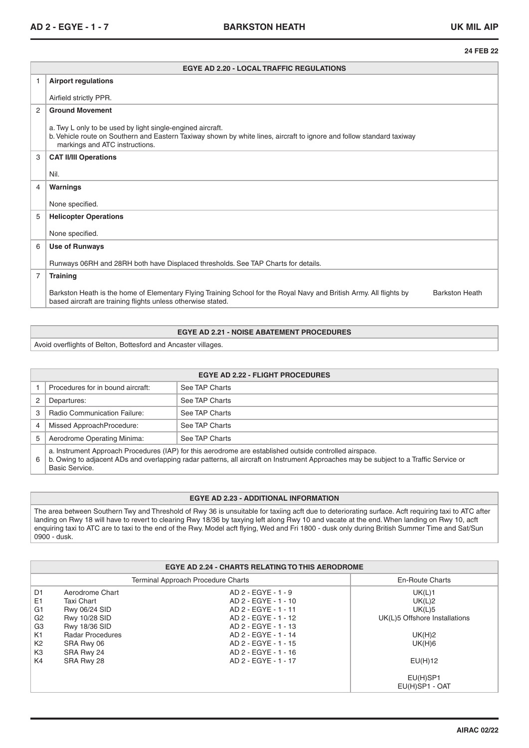|   | <b>EGYE AD 2.20 - LOCAL TRAFFIC REGULATIONS</b>                                                                                                                                                                       |
|---|-----------------------------------------------------------------------------------------------------------------------------------------------------------------------------------------------------------------------|
| 1 | <b>Airport regulations</b>                                                                                                                                                                                            |
|   | Airfield strictly PPR.                                                                                                                                                                                                |
| 2 | <b>Ground Movement</b>                                                                                                                                                                                                |
|   | a. Twy L only to be used by light single-engined aircraft.<br>b. Vehicle route on Southern and Eastern Taxiway shown by white lines, aircraft to ignore and follow standard taxiway<br>markings and ATC instructions. |
| 3 | <b>CAT II/III Operations</b>                                                                                                                                                                                          |
|   | Nil.                                                                                                                                                                                                                  |
| 4 | Warnings                                                                                                                                                                                                              |
|   | None specified.                                                                                                                                                                                                       |
| 5 | <b>Helicopter Operations</b>                                                                                                                                                                                          |
|   | None specified.                                                                                                                                                                                                       |
| 6 | <b>Use of Runways</b>                                                                                                                                                                                                 |
|   | Runways 06RH and 28RH both have Displaced thresholds. See TAP Charts for details.                                                                                                                                     |
| 7 | <b>Training</b>                                                                                                                                                                                                       |
|   | Barkston Heath is the home of Elementary Flying Training School for the Royal Navy and British Army. All flights by<br><b>Barkston Heath</b><br>based aircraft are training flights unless otherwise stated.          |

#### **EGYE AD 2.21 - NOISE ABATEMENT PROCEDURES**

Avoid overflights of Belton, Bottesford and Ancaster villages.

|   |                                   | <b>EGYE AD 2.22 - FLIGHT PROCEDURES</b>                                                                                                                                                                                                          |
|---|-----------------------------------|--------------------------------------------------------------------------------------------------------------------------------------------------------------------------------------------------------------------------------------------------|
|   | Procedures for in bound aircraft: | See TAP Charts                                                                                                                                                                                                                                   |
| 2 | Departures:                       | See TAP Charts                                                                                                                                                                                                                                   |
| 3 | Radio Communication Failure:      | See TAP Charts                                                                                                                                                                                                                                   |
| 4 | Missed ApproachProcedure:         | See TAP Charts                                                                                                                                                                                                                                   |
| 5 | Aerodrome Operating Minima:       | See TAP Charts                                                                                                                                                                                                                                   |
| 6 | Basic Service.                    | a. Instrument Approach Procedures (IAP) for this aerodrome are established outside controlled airspace.<br>b. Owing to adjacent ADs and overlapping radar patterns, all aircraft on Instrument Approaches may be subject to a Traffic Service or |

#### **EGYE AD 2.23 - ADDITIONAL INFORMATION**

The area between Southern Twy and Threshold of Rwy 36 is unsuitable for taxiing acft due to deteriorating surface. Acft requiring taxi to ATC after landing on Rwy 18 will have to revert to clearing Rwy 18/36 by taxying left along Rwy 10 and vacate at the end. When landing on Rwy 10, acft enquiring taxi to ATC are to taxi to the end of the Rwy. Model acft flying, Wed and Fri 1800 - dusk only during British Summer Time and Sat/Sun 0900 - dusk.

|                | <b>EGYE AD 2.24 - CHARTS RELATING TO THIS AERODROME</b> |                                           |                               |  |  |  |  |  |  |
|----------------|---------------------------------------------------------|-------------------------------------------|-------------------------------|--|--|--|--|--|--|
|                |                                                         | <b>Terminal Approach Procedure Charts</b> | <b>En-Route Charts</b>        |  |  |  |  |  |  |
| D <sub>1</sub> | Aerodrome Chart                                         | AD 2 - EGYE - 1 - 9                       | UK(L)1                        |  |  |  |  |  |  |
| E <sub>1</sub> | Taxi Chart                                              | AD 2 - EGYE - 1 - 10                      | UK(L)2                        |  |  |  |  |  |  |
| G <sub>1</sub> | <b>Rwy 06/24 SID</b>                                    | AD 2 - EGYE - 1 - 11                      | UK(L)5                        |  |  |  |  |  |  |
| G <sub>2</sub> | <b>Rwy 10/28 SID</b>                                    | AD 2 - EGYE - 1 - 12                      | UK(L)5 Offshore Installations |  |  |  |  |  |  |
| G <sub>3</sub> | <b>Rwy 18/36 SID</b>                                    | AD 2 - EGYE - 1 - 13                      |                               |  |  |  |  |  |  |
| K1             | <b>Radar Procedures</b>                                 | AD 2 - EGYE - 1 - 14                      | UK(H)2                        |  |  |  |  |  |  |
| K <sub>2</sub> | SRA Rwy 06                                              | AD 2 - EGYE - 1 - 15                      | UK(H)6                        |  |  |  |  |  |  |
| K3             | SRA Rwy 24                                              | AD 2 - EGYE - 1 - 16                      |                               |  |  |  |  |  |  |
| K4             | SRA Rwy 28                                              | AD 2 - EGYE - 1 - 17                      | EU(H)12                       |  |  |  |  |  |  |
|                |                                                         |                                           | $EU(H)$ SP1                   |  |  |  |  |  |  |
|                |                                                         |                                           | EU(H)SP1 - OAT                |  |  |  |  |  |  |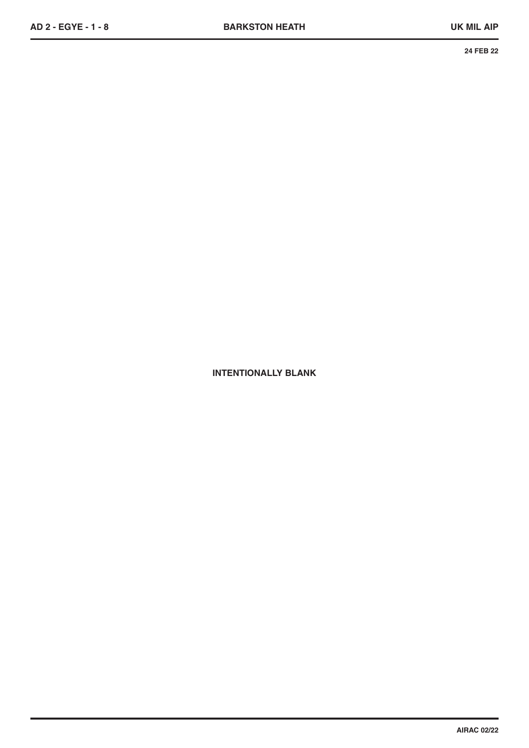**INTENTIONALLY BLANK**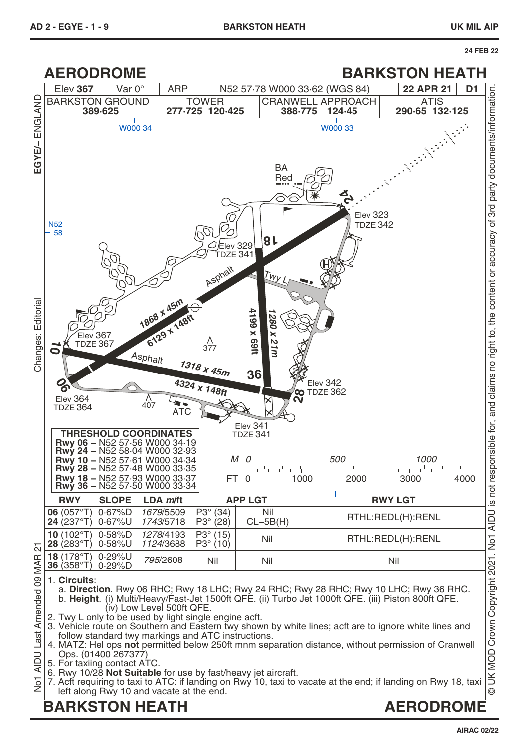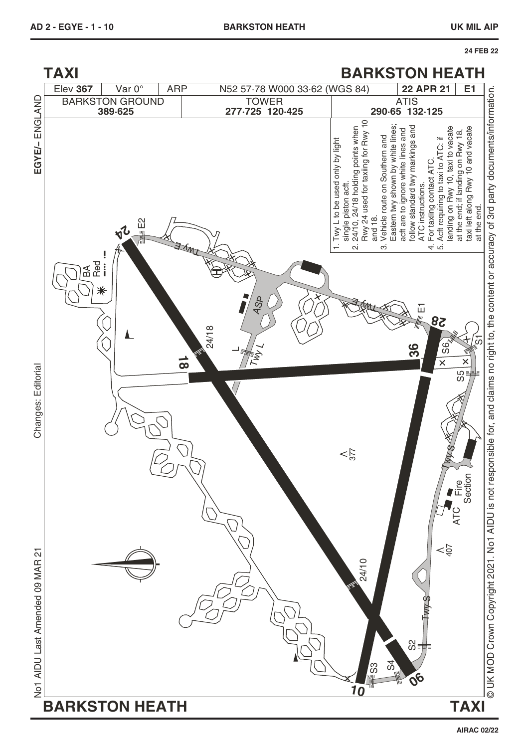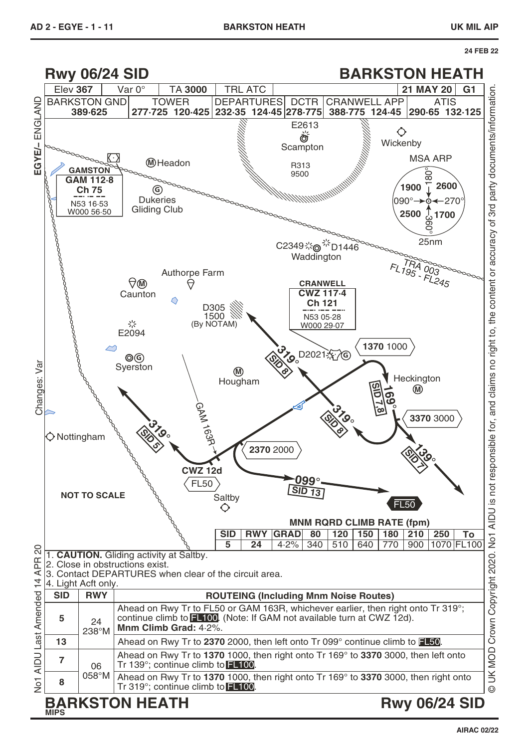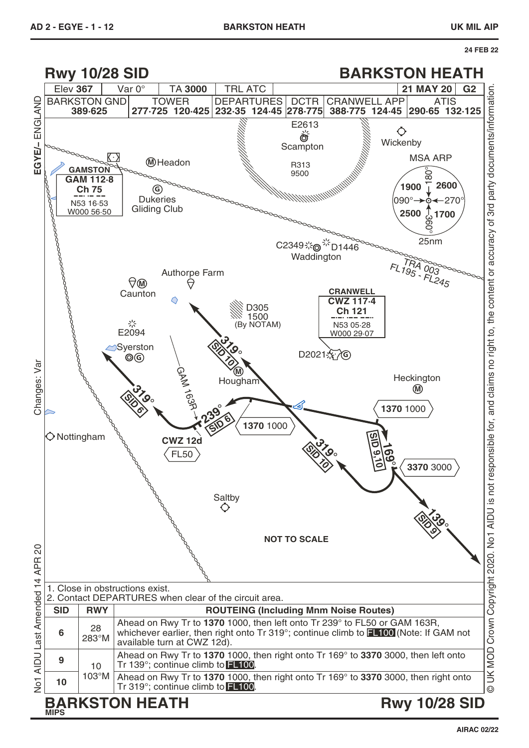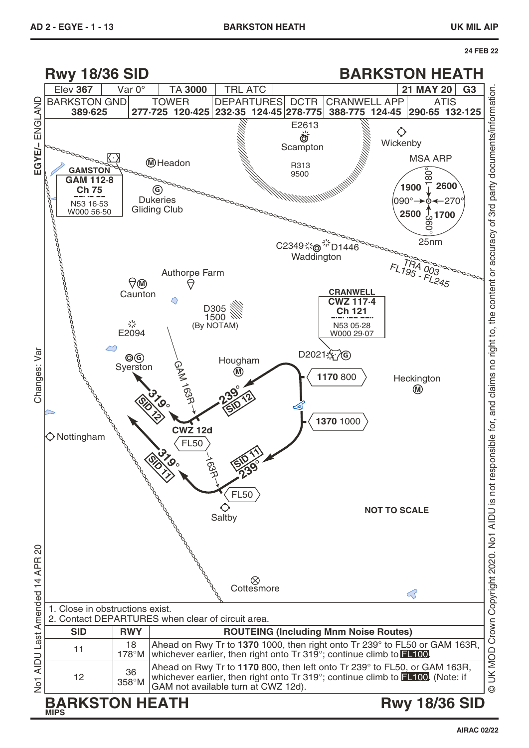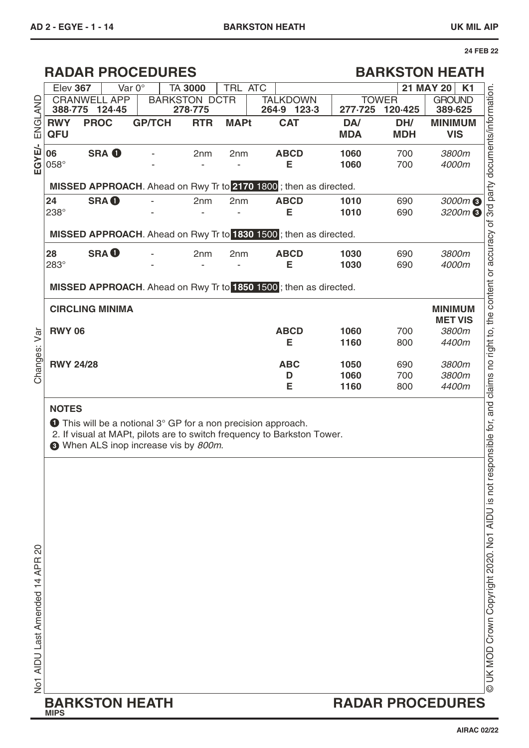|                           |                               | <b>RADAR PROCEDURES</b>                                                         |                                 |             |                                                                         |                      |                         | <b>BARKSTON HEATH</b>                    |
|---------------------------|-------------------------------|---------------------------------------------------------------------------------|---------------------------------|-------------|-------------------------------------------------------------------------|----------------------|-------------------------|------------------------------------------|
| Elev 367                  |                               | Var 0°                                                                          | <b>TA 3000</b>                  | TRL ATC     |                                                                         |                      |                         | <b>21 MAY 20</b><br>K <sub>1</sub>       |
| 388.775                   | <b>CRANWELL APP</b><br>124.45 |                                                                                 | <b>BARKSTON DCTR</b><br>278.775 |             | <b>TALKDOWN</b><br>264.9 123.3                                          | 277.725              | <b>TOWER</b><br>120.425 | <b>GROUND</b><br>389.625                 |
| <b>RWY</b><br>QFU         | <b>PROC</b>                   | <b>GP/TCH</b>                                                                   | <b>RTR</b>                      | <b>MAPt</b> | <b>CAT</b>                                                              | DA/<br><b>MDA</b>    | DH/<br><b>MDH</b>       | <b>MINIMUM</b><br><b>VIS</b>             |
| 06<br>058°                | <b>SRA O</b>                  |                                                                                 | 2nm                             | 2nm         | <b>ABCD</b><br>Е                                                        | 1060<br>1060         | 700<br>700              | 3800m<br>4000m                           |
|                           |                               |                                                                                 |                                 |             | MISSED APPROACH. Ahead on Rwy Tr to 2170 1800; then as directed.        |                      |                         |                                          |
| 24<br>238°                | <b>SRAO</b>                   |                                                                                 | 2nm                             | 2nm         | <b>ABCD</b><br>Е                                                        | 1010<br>1010         | 690<br>690              | 3000m <sup>8</sup><br>3200m <sup>8</sup> |
|                           |                               |                                                                                 |                                 |             | MISSED APPROACH. Ahead on Rwy Tr to 1830 1500; then as directed.        |                      |                         |                                          |
| 28<br>283°                | <b>SRAO</b>                   |                                                                                 | 2nm                             | 2nm         | <b>ABCD</b><br>Е                                                        | 1030<br>1030         | 690<br>690              | 3800m<br>4000m                           |
|                           |                               |                                                                                 |                                 |             | MISSED APPROACH. Ahead on Rwy Tr to 1850 1500; then as directed.        |                      |                         |                                          |
|                           | <b>CIRCLING MINIMA</b>        |                                                                                 |                                 |             |                                                                         |                      |                         | <b>MINIMUM</b><br><b>MET VIS</b>         |
| <b>RWY 06</b><br>Changes: |                               |                                                                                 |                                 |             | <b>ABCD</b><br>Е                                                        | 1060<br>1160         | 700<br>800              | 3800m<br>4400m                           |
| <b>RWY 24/28</b>          |                               |                                                                                 |                                 |             | <b>ABC</b><br>D<br>Е                                                    | 1050<br>1060<br>1160 | 690<br>700<br>800       | 3800m<br>3800m<br>4400m                  |
| <b>NOTES</b>              |                               | $\bullet$ This will be a notional 3 $^{\circ}$ GP for a non precision approach. |                                 |             |                                                                         |                      |                         |                                          |
|                           |                               | When ALS inop increase vis by 800m.                                             |                                 |             | 2. If visual at MAPt, pilots are to switch frequency to Barkston Tower. |                      |                         |                                          |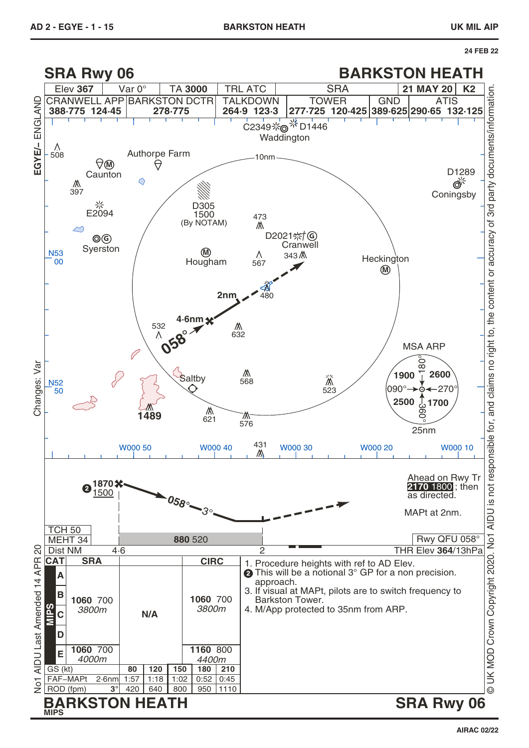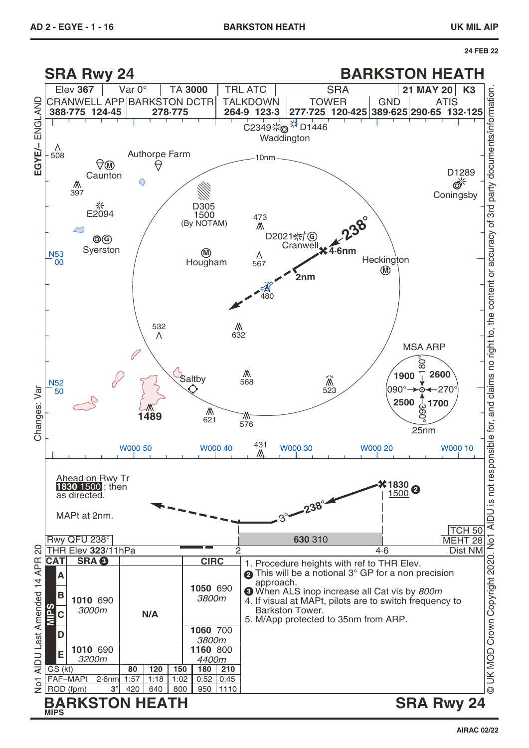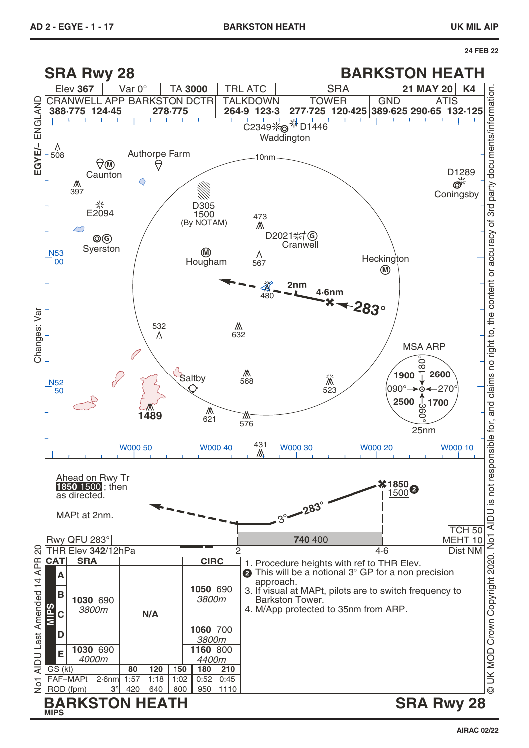